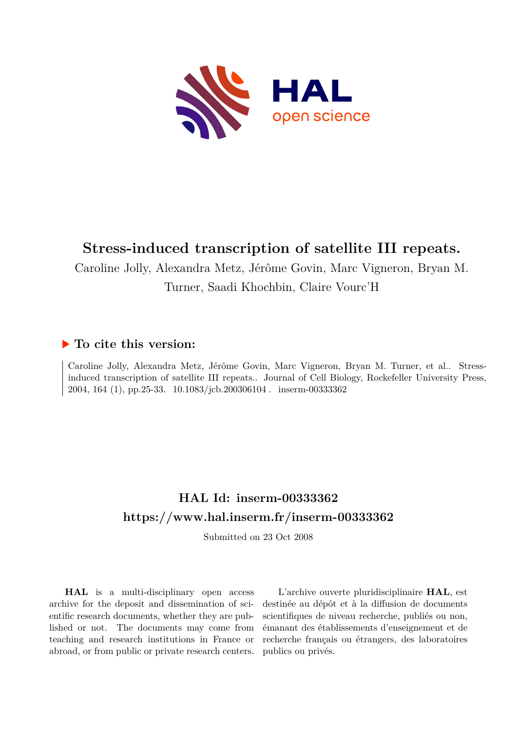

# **Stress-induced transcription of satellite III repeats.**

Caroline Jolly, Alexandra Metz, Jérôme Govin, Marc Vigneron, Bryan M. Turner, Saadi Khochbin, Claire Vourc'H

# **To cite this version:**

Caroline Jolly, Alexandra Metz, Jérôme Govin, Marc Vigneron, Bryan M. Turner, et al.. Stressinduced transcription of satellite III repeats.. Journal of Cell Biology, Rockefeller University Press, 2004, 164 (1), pp.25-33. 10.1083/jcb.200306104. inserm-00333362

# **HAL Id: inserm-00333362 <https://www.hal.inserm.fr/inserm-00333362>**

Submitted on 23 Oct 2008

**HAL** is a multi-disciplinary open access archive for the deposit and dissemination of scientific research documents, whether they are published or not. The documents may come from teaching and research institutions in France or abroad, or from public or private research centers.

L'archive ouverte pluridisciplinaire **HAL**, est destinée au dépôt et à la diffusion de documents scientifiques de niveau recherche, publiés ou non, émanant des établissements d'enseignement et de recherche français ou étrangers, des laboratoires publics ou privés.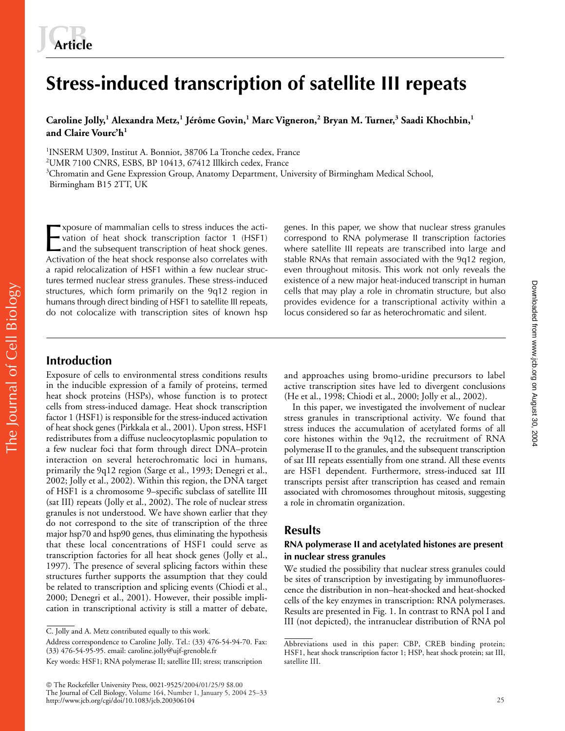# **Stress-induced transcription of satellite III repeats**

**Caroline Jolly,<sup>1</sup> Alexandra Metz,<sup>1</sup> Jérôme Govin,<sup>1</sup> Marc Vigneron,<sup>2</sup> Bryan M. Turner,<sup>3</sup> Saadi Khochbin,<sup>1</sup> and Claire Vourc'h<sup>1</sup>**

<sup>1</sup>INSERM U309, Institut A. Bonniot, 38706 La Tronche cedex, France  $2$ UMR 7100 CNRS, ESBS, BP 10413, 67412 Illkirch cedex, France <sup>3</sup>Chromatin and Gene Expression Group, Anatomy Department, University of Birmingham Medical School, Birmingham B15 2TT, UK

xposure of mammalian cells to stress induces the activation of heat shock transcription factor 1 (HSF1) and the subsequent transcription of heat shock genes. Exposure of mammalian cells to stress induces the activation of heat shock transcription factor 1 (HSF1)<br>
and the subsequent transcription of heat shock genes.<br>
Activation of the heat shock response also correlates with a rapid relocalization of HSF1 within a few nuclear structures termed nuclear stress granules. These stress-induced structures, which form primarily on the 9q12 region in humans through direct binding of HSF1 to satellite III repeats, do not colocalize with transcription sites of known hsp genes. In this paper, we show that nuclear stress granules correspond to RNA polymerase II transcription factories where satellite III repeats are transcribed into large and stable RNAs that remain associated with the 9q12 region, even throughout mitosis. This work not only reveals the existence of a new major heat-induced transcript in human cells that may play a role in chromatin structure, but also provides evidence for a transcriptional activity within a locus considered so far as heterochromatic and silent.

## **Introduction**

Exposure of cells to environmental stress conditions results in the inducible expression of a family of proteins, termed heat shock proteins (HSPs), whose function is to protect cells from stress-induced damage. Heat shock transcription factor 1 (HSF1) is responsible for the stress-induced activation of heat shock genes (Pirkkala et al., 2001). Upon stress, HSF1 redistributes from a diffuse nucleocytoplasmic population to a few nuclear foci that form through direct DNA–protein interaction on several heterochromatic loci in humans, primarily the 9q12 region (Sarge et al., 1993; Denegri et al., 2002; Jolly et al., 2002). Within this region, the DNA target of HSF1 is a chromosome 9–specific subclass of satellite III (sat III) repeats (Jolly et al., 2002). The role of nuclear stress granules is not understood. We have shown earlier that they do not correspond to the site of transcription of the three major hsp70 and hsp90 genes, thus eliminating the hypothesis that these local concentrations of HSF1 could serve as transcription factories for all heat shock genes (Jolly et al., 1997). The presence of several splicing factors within these structures further supports the assumption that they could be related to transcription and splicing events (Chiodi et al., 2000; Denegri et al., 2001). However, their possible implication in transcriptional activity is still a matter of debate,

 The Rockefeller University Press, 0021-9525/2004/01/25/9 \$8.00 The Journal of Cell Biology, Volume 164, Number 1, January 5, 2004 25–33 http://www.jcb.org/cgi/doi/10.1083/jcb.200306104

and approaches using bromo-uridine precursors to label active transcription sites have led to divergent conclusions (He et al., 1998; Chiodi et al., 2000; Jolly et al., 2002).

In this paper, we investigated the involvement of nuclear stress granules in transcriptional activity. We found that stress induces the accumulation of acetylated forms of all core histones within the 9q12, the recruitment of RNA polymerase II to the granules, and the subsequent transcription of sat III repeats essentially from one strand. All these events are HSF1 dependent. Furthermore, stress-induced sat III transcripts persist after transcription has ceased and remain associated with chromosomes throughout mitosis, suggesting a role in chromatin organization.

## **Results**

## **RNA polymerase II and acetylated histones are present in nuclear stress granules**

We studied the possibility that nuclear stress granules could be sites of transcription by investigating by immunofluorescence the distribution in non–heat-shocked and heat-shocked cells of the key enzymes in transcription: RNA polymerases. Results are presented in Fig. 1. In contrast to RNA pol I and III (not depicted), the intranuclear distribution of RNA pol Downloaded from www.jcb.org on August 30, 2004 Downloadedfrom [www.jcb.org](http://www.jcb.org) on August 30, 2004

C. Jolly and A. Metz contributed equally to this work.

Address correspondence to Caroline Jolly. Tel.: (33) 476-54-94-70. Fax: (33) 476-54-95-95. email: caroline.jolly@ujf-grenoble.fr

Key words: HSF1; RNA polymerase II; satellite III; stress; transcription

Abbreviations used in this paper: CBP, CREB binding protein; HSF1, heat shock transcription factor 1; HSP, heat shock protein; sat III, satellite III.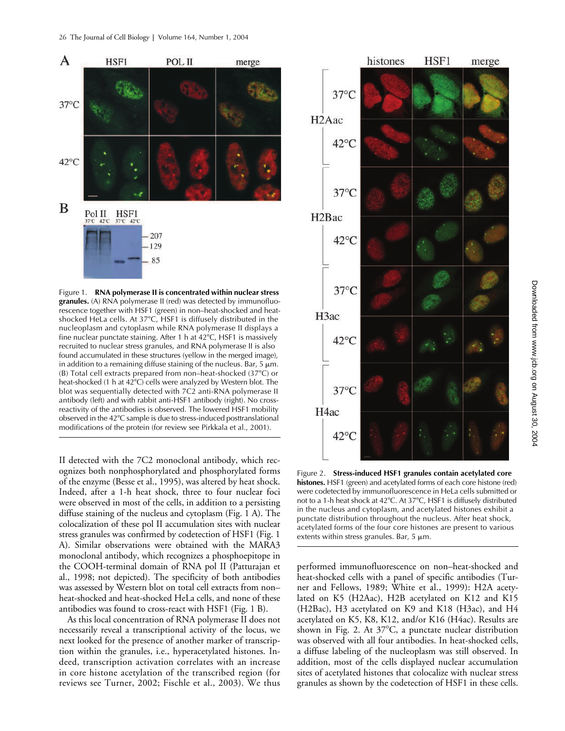

Figure 1. **RNA polymerase II is concentrated within nuclear stress granules.** (A) RNA polymerase II (red) was detected by immunofluorescence together with HSF1 (green) in non–heat-shocked and heatshocked HeLa cells. At 37-C, HSF1 is diffusely distributed in the nucleoplasm and cytoplasm while RNA polymerase II displays a fine nuclear punctate staining. After 1 h at 42°C, HSF1 is massively recruited to nuclear stress granules, and RNA polymerase II is also found accumulated in these structures (yellow in the merged image), in addition to a remaining diffuse staining of the nucleus. Bar,  $5 \mu m$ . (B) Total cell extracts prepared from non–heat-shocked (37-C) or heat-shocked (1 h at 42°C) cells were analyzed by Western blot. The blot was sequentially detected with 7C2 anti-RNA polymerase II antibody (left) and with rabbit anti-HSF1 antibody (right). No crossreactivity of the antibodies is observed. The lowered HSF1 mobility observed in the 42°C sample is due to stress-induced posttranslational modifications of the protein (for review see Pirkkala et al., 2001).

II detected with the 7C2 monoclonal antibody, which recognizes both nonphosphorylated and phosphorylated forms of the enzyme (Besse et al., 1995), was altered by heat shock. Indeed, after a 1-h heat shock, three to four nuclear foci were observed in most of the cells, in addition to a persisting diffuse staining of the nucleus and cytoplasm (Fig. 1 A). The colocalization of these pol II accumulation sites with nuclear stress granules was confirmed by codetection of HSF1 (Fig. 1 A). Similar observations were obtained with the MARA3 monoclonal antibody, which recognizes a phosphoepitope in the COOH-terminal domain of RNA pol II (Patturajan et al., 1998; not depicted). The specificity of both antibodies was assessed by Western blot on total cell extracts from non– heat-shocked and heat-shocked HeLa cells, and none of these antibodies was found to cross-react with HSF1 (Fig. 1 B).

As this local concentration of RNA polymerase II does not necessarily reveal a transcriptional activity of the locus, we next looked for the presence of another marker of transcription within the granules, i.e., hyperacetylated histones. Indeed, transcription activation correlates with an increase in core histone acetylation of the transcribed region (for reviews see Turner, 2002; Fischle et al., 2003). We thus



Figure 2. **Stress-induced HSF1 granules contain acetylated core histones.** HSF1 (green) and acetylated forms of each core histone (red) were codetected by immunofluorescence in HeLa cells submitted or not to a 1-h heat shock at 42°C. At 37°C, HSF1 is diffusely distributed in the nucleus and cytoplasm, and acetylated histones exhibit a punctate distribution throughout the nucleus. After heat shock, acetylated forms of the four core histones are present to various extents within stress granules. Bar,  $5 \mu m$ .

performed immunofluorescence on non–heat-shocked and heat-shocked cells with a panel of specific antibodies (Turner and Fellows, 1989; White et al., 1999): H2A acetylated on K5 (H2Aac), H2B acetylated on K12 and K15 (H2Bac), H3 acetylated on K9 and K18 (H3ac), and H4 acetylated on K5, K8, K12, and/or K16 (H4ac). Results are shown in Fig. 2. At 37°C, a punctate nuclear distribution was observed with all four antibodies. In heat-shocked cells, a diffuse labeling of the nucleoplasm was still observed. In addition, most of the cells displayed nuclear accumulation sites of acetylated histones that colocalize with nuclear stress granules as shown by the codetection of HSF1 in these cells.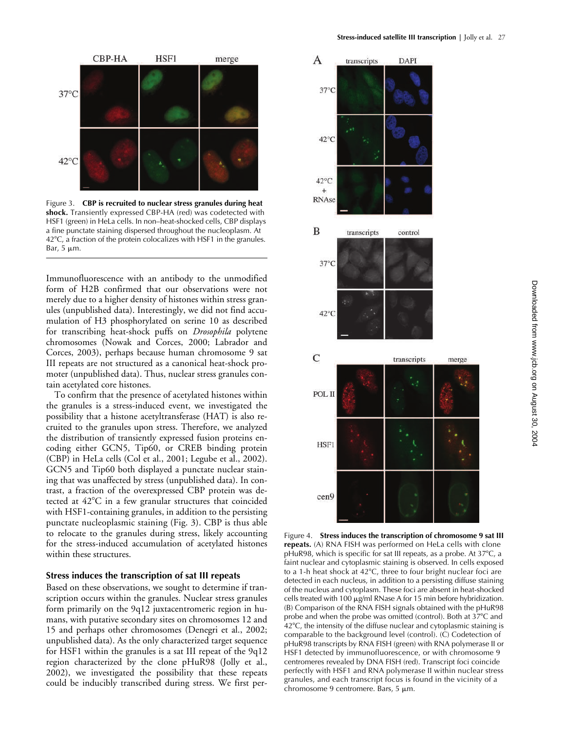

Figure 3. **CBP is recruited to nuclear stress granules during heat shock.** Transiently expressed CBP-HA (red) was codetected with HSF1 (green) in HeLa cells. In non–heat-shocked cells, CBP displays a fine punctate staining dispersed throughout the nucleoplasm. At 42°C, a fraction of the protein colocalizes with HSF1 in the granules. Bar,  $5 \mu m$ .

Immunofluorescence with an antibody to the unmodified form of H2B confirmed that our observations were not merely due to a higher density of histones within stress granules (unpublished data). Interestingly, we did not find accumulation of H3 phosphorylated on serine 10 as described for transcribing heat-shock puffs on *Drosophila* polytene chromosomes (Nowak and Corces, 2000; Labrador and Corces, 2003), perhaps because human chromosome 9 sat III repeats are not structured as a canonical heat-shock promoter (unpublished data). Thus, nuclear stress granules contain acetylated core histones.

To confirm that the presence of acetylated histones within the granules is a stress-induced event, we investigated the possibility that a histone acetyltransferase (HAT) is also recruited to the granules upon stress. Therefore, we analyzed the distribution of transiently expressed fusion proteins encoding either GCN5, Tip60, or CREB binding protein (CBP) in HeLa cells (Col et al., 2001; Legube et al., 2002). GCN5 and Tip60 both displayed a punctate nuclear staining that was unaffected by stress (unpublished data). In contrast, a fraction of the overexpressed CBP protein was detected at 42°C in a few granular structures that coincided with HSF1-containing granules, in addition to the persisting punctate nucleoplasmic staining (Fig. 3). CBP is thus able to relocate to the granules during stress, likely accounting for the stress-induced accumulation of acetylated histones within these structures.

#### **Stress induces the transcription of sat III repeats**

Based on these observations, we sought to determine if transcription occurs within the granules. Nuclear stress granules form primarily on the 9q12 juxtacentromeric region in humans, with putative secondary sites on chromosomes 12 and 15 and perhaps other chromosomes (Denegri et al., 2002; unpublished data). As the only characterized target sequence for HSF1 within the granules is a sat III repeat of the 9q12 region characterized by the clone pHuR98 (Jolly et al., 2002), we investigated the possibility that these repeats could be inducibly transcribed during stress. We first per-



Figure 4. **Stress induces the transcription of chromosome 9 sat III repeats.** (A) RNA FISH was performed on HeLa cells with clone pHuR98, which is specific for sat III repeats, as a probe. At 37°C, a faint nuclear and cytoplasmic staining is observed. In cells exposed to a 1-h heat shock at 42-C, three to four bright nuclear foci are detected in each nucleus, in addition to a persisting diffuse staining of the nucleus and cytoplasm. These foci are absent in heat-shocked cells treated with 100  $\mu$ g/ml RNase A for 15 min before hybridization. (B) Comparison of the RNA FISH signals obtained with the pHuR98 probe and when the probe was omitted (control). Both at 37°C and 42°C, the intensity of the diffuse nuclear and cytoplasmic staining is comparable to the background level (control). (C) Codetection of pHuR98 transcripts by RNA FISH (green) with RNA polymerase II or HSF1 detected by immunofluorescence, or with chromosome 9 centromeres revealed by DNA FISH (red). Transcript foci coincide perfectly with HSF1 and RNA polymerase II within nuclear stress granules, and each transcript focus is found in the vicinity of a chromosome 9 centromere. Bars,  $5 \mu m$ .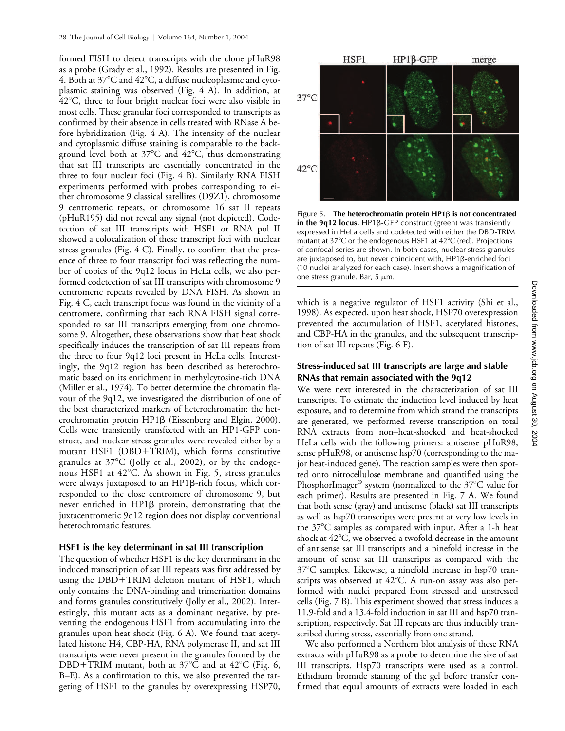formed FISH to detect transcripts with the clone pHuR98 as a probe (Grady et al., 1992). Results are presented in Fig. 4. Both at 37°C and 42°C, a diffuse nucleoplasmic and cytoplasmic staining was observed (Fig. 4 A). In addition, at 42°C, three to four bright nuclear foci were also visible in most cells. These granular foci corresponded to transcripts as confirmed by their absence in cells treated with RNase A before hybridization (Fig. 4 A). The intensity of the nuclear and cytoplasmic diffuse staining is comparable to the background level both at 37°C and 42°C, thus demonstrating that sat III transcripts are essentially concentrated in the three to four nuclear foci (Fig. 4 B). Similarly RNA FISH experiments performed with probes corresponding to either chromosome 9 classical satellites (D9Z1), chromosome 9 centromeric repeats, or chromosome 16 sat II repeats (pHuR195) did not reveal any signal (not depicted). Codetection of sat III transcripts with HSF1 or RNA pol II showed a colocalization of these transcript foci with nuclear stress granules (Fig. 4 C). Finally, to confirm that the presence of three to four transcript foci was reflecting the number of copies of the 9q12 locus in HeLa cells, we also performed codetection of sat III transcripts with chromosome 9 centromeric repeats revealed by DNA FISH. As shown in Fig. 4 C, each transcript focus was found in the vicinity of a centromere, confirming that each RNA FISH signal corresponded to sat III transcripts emerging from one chromosome 9. Altogether, these observations show that heat shock specifically induces the transcription of sat III repeats from the three to four 9q12 loci present in HeLa cells. Interestingly, the 9q12 region has been described as heterochromatic based on its enrichment in methylcytosine-rich DNA (Miller et al., 1974). To better determine the chromatin flavour of the 9q12, we investigated the distribution of one of the best characterized markers of heterochromatin: the heterochromatin protein  $HP1\beta$  (Eissenberg and Elgin, 2000). Cells were transiently transfected with an HP1-GFP construct, and nuclear stress granules were revealed either by a mutant HSF1 (DBD+TRIM), which forms constitutive granules at 37°C (Jolly et al., 2002), or by the endogenous HSF1 at 42-C. As shown in Fig. 5, stress granules were always juxtaposed to an  $HP1\beta$ -rich focus, which corresponded to the close centromere of chromosome 9, but never enriched in  $HP1\beta$  protein, demonstrating that the juxtacentromeric 9q12 region does not display conventional heterochromatic features.

#### **HSF1 is the key determinant in sat III transcription**

The question of whether HSF1 is the key determinant in the induced transcription of sat III repeats was first addressed by using the  $DBD+TRIM$  deletion mutant of HSF1, which only contains the DNA-binding and trimerization domains and forms granules constitutively (Jolly et al., 2002). Interestingly, this mutant acts as a dominant negative, by preventing the endogenous HSF1 from accumulating into the granules upon heat shock (Fig. 6 A). We found that acetylated histone H4, CBP-HA, RNA polymerase II, and sat III transcripts were never present in the granules formed by the DBD+TRIM mutant, both at  $37^{\circ}$ C and at  $42^{\circ}$ C (Fig. 6, B–E). As a confirmation to this, we also prevented the targeting of HSF1 to the granules by overexpressing HSP70,



Figure 5. **The heterochromatin protein HP1 is not concentrated**   $\mathbf{i}$  **n** the 9q12 locus. HP1 $\beta$ -GFP construct (green) was transiently expressed in HeLa cells and codetected with either the DBD-TRIM mutant at 37°C or the endogenous HSF1 at 42°C (red). Projections of confocal series are shown. In both cases, nuclear stress granules are juxtaposed to, but never coincident with,  $HP1\beta$ -enriched foci (10 nuclei analyzed for each case). Insert shows a magnification of one stress granule. Bar,  $5 \mu m$ .

which is a negative regulator of HSF1 activity (Shi et al., 1998). As expected, upon heat shock, HSP70 overexpression prevented the accumulation of HSF1, acetylated histones, and CBP-HA in the granules, and the subsequent transcription of sat III repeats (Fig. 6 F).

#### **Stress-induced sat III transcripts are large and stable RNAs that remain associated with the 9q12**

We were next interested in the characterization of sat III transcripts. To estimate the induction level induced by heat exposure, and to determine from which strand the transcripts are generated, we performed reverse transcription on total RNA extracts from non–heat-shocked and heat-shocked HeLa cells with the following primers: antisense pHuR98, sense pHuR98, or antisense hsp70 (corresponding to the major heat-induced gene). The reaction samples were then spotted onto nitrocellulose membrane and quantified using the PhosphorImager® system (normalized to the 37°C value for each primer). Results are presented in Fig. 7 A. We found that both sense (gray) and antisense (black) sat III transcripts as well as hsp70 transcripts were present at very low levels in the 37°C samples as compared with input. After a 1-h heat shock at  $42^{\circ}\textrm{C}$ , we observed a twofold decrease in the amount of antisense sat III transcripts and a ninefold increase in the amount of sense sat III transcripts as compared with the 37°C samples. Likewise, a ninefold increase in hsp70 transcripts was observed at 42°C. A run-on assay was also performed with nuclei prepared from stressed and unstressed cells (Fig. 7 B). This experiment showed that stress induces a 11.9-fold and a 13.4-fold induction in sat III and hsp70 transcription, respectively. Sat III repeats are thus inducibly transcribed during stress, essentially from one strand.

We also performed a Northern blot analysis of these RNA extracts with pHuR98 as a probe to determine the size of sat III transcripts. Hsp70 transcripts were used as a control. Ethidium bromide staining of the gel before transfer confirmed that equal amounts of extracts were loaded in each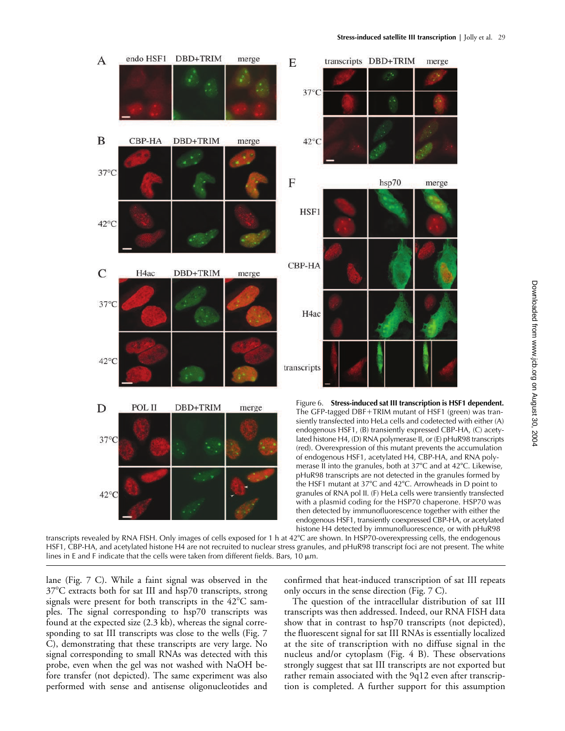

transcripts revealed by RNA FISH. Only images of cells exposed for 1 h at 42°C are shown. In HSP70-overexpressing cells, the endogenous HSF1, CBP-HA, and acetylated histone H4 are not recruited to nuclear stress granules, and pHuR98 transcript foci are not present. The white lines in E and F indicate that the cells were taken from different fields. Bars, 10  $\mu$ m.

lane (Fig. 7 C). While a faint signal was observed in the 37-C extracts both for sat III and hsp70 transcripts, strong signals were present for both transcripts in the  $42^{\circ}\mathrm{C}$  samples. The signal corresponding to hsp70 transcripts was found at the expected size (2.3 kb), whereas the signal corresponding to sat III transcripts was close to the wells (Fig. 7 C), demonstrating that these transcripts are very large. No signal corresponding to small RNAs was detected with this probe, even when the gel was not washed with NaOH before transfer (not depicted). The same experiment was also performed with sense and antisense oligonucleotides and

confirmed that heat-induced transcription of sat III repeats only occurs in the sense direction (Fig. 7 C).

The question of the intracellular distribution of sat III transcripts was then addressed. Indeed, our RNA FISH data show that in contrast to hsp70 transcripts (not depicted), the fluorescent signal for sat III RNAs is essentially localized at the site of transcription with no diffuse signal in the nucleus and/or cytoplasm (Fig. 4 B). These observations strongly suggest that sat III transcripts are not exported but rather remain associated with the 9q12 even after transcription is completed. A further support for this assumption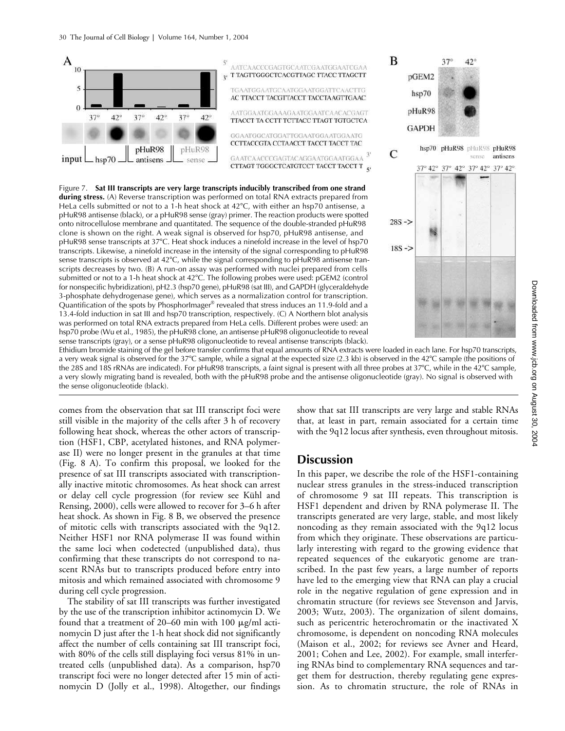

Figure 7. **Sat III transcripts are very large transcripts inducibly transcribed from one strand during stress.** (A) Reverse transcription was performed on total RNA extracts prepared from HeLa cells submitted or not to a 1-h heat shock at  $42^{\circ}$ C, with either an hsp70 antisense, a pHuR98 antisense (black), or a pHuR98 sense (gray) primer. The reaction products were spotted onto nitrocellulose membrane and quantitated. The sequence of the double-stranded pHuR98 clone is shown on the right. A weak signal is observed for hsp70, pHuR98 antisense, and pHuR98 sense transcripts at 37°C. Heat shock induces a ninefold increase in the level of hsp70 transcripts. Likewise, a ninefold increase in the intensity of the signal corresponding to pHuR98 sense transcripts is observed at 42°C, while the signal corresponding to pHuR98 antisense transcripts decreases by two. (B) A run-on assay was performed with nuclei prepared from cells submitted or not to a 1-h heat shock at 42°C. The following probes were used: pGEM2 (control for nonspecific hybridization), pH2.3 (hsp70 gene), pHuR98 (sat III), and GAPDH (glyceraldehyde 3-phosphate dehydrogenase gene), which serves as a normalization control for transcription. Quantification of the spots by PhosphorImager® revealed that stress induces an 11.9-fold and a 13.4-fold induction in sat III and hsp70 transcription, respectively. (C) A Northern blot analysis was performed on total RNA extracts prepared from HeLa cells. Different probes were used: an hsp70 probe (Wu et al., 1985), the pHuR98 clone, an antisense pHuR98 oligonucleotide to reveal sense transcripts (gray), or a sense pHuR98 oligonucleotide to reveal antisense transcripts (black).



Ethidium bromide staining of the gel before transfer confirms that equal amounts of RNA extracts were loaded in each lane. For hsp70 transcripts, a very weak signal is observed for the 37°C sample, while a signal at the expected size (2.3 kb) is observed in the 42°C sample (the positions of the 28S and 18S rRNAs are indicated). For pHuR98 transcripts, a faint signal is present with all three probes at 37°C, while in the 42°C sample, a very slowly migrating band is revealed, both with the pHuR98 probe and the antisense oligonucleotide (gray). No signal is observed with the sense oligonucleotide (black).

comes from the observation that sat III transcript foci were still visible in the majority of the cells after 3 h of recovery following heat shock, whereas the other actors of transcription (HSF1, CBP, acetylated histones, and RNA polymerase II) were no longer present in the granules at that time (Fig. 8 A). To confirm this proposal, we looked for the presence of sat III transcripts associated with transcriptionally inactive mitotic chromosomes. As heat shock can arrest or delay cell cycle progression (for review see Kühl and Rensing, 2000), cells were allowed to recover for 3–6 h after heat shock. As shown in Fig. 8 B, we observed the presence of mitotic cells with transcripts associated with the 9q12. Neither HSF1 nor RNA polymerase II was found within the same loci when codetected (unpublished data), thus confirming that these transcripts do not correspond to nascent RNAs but to transcripts produced before entry into mitosis and which remained associated with chromosome 9 during cell cycle progression.

The stability of sat III transcripts was further investigated by the use of the transcription inhibitor actinomycin D. We found that a treatment of 20–60 min with 100  $\mu$ g/ml actinomycin D just after the 1-h heat shock did not significantly affect the number of cells containing sat III transcript foci, with 80% of the cells still displaying foci versus 81% in untreated cells (unpublished data). As a comparison, hsp70 transcript foci were no longer detected after 15 min of actinomycin D (Jolly et al., 1998). Altogether, our findings

show that sat III transcripts are very large and stable RNAs that, at least in part, remain associated for a certain time with the 9q12 locus after synthesis, even throughout mitosis.

## **Discussion**

In this paper, we describe the role of the HSF1-containing nuclear stress granules in the stress-induced transcription of chromosome 9 sat III repeats. This transcription is HSF1 dependent and driven by RNA polymerase II. The transcripts generated are very large, stable, and most likely noncoding as they remain associated with the 9q12 locus from which they originate. These observations are particularly interesting with regard to the growing evidence that repeated sequences of the eukaryotic genome are transcribed. In the past few years, a large number of reports have led to the emerging view that RNA can play a crucial role in the negative regulation of gene expression and in chromatin structure (for reviews see Stevenson and Jarvis, 2003; Wutz, 2003). The organization of silent domains, such as pericentric heterochromatin or the inactivated X chromosome, is dependent on noncoding RNA molecules (Maison et al., 2002; for reviews see Avner and Heard, 2001; Cohen and Lee, 2002). For example, small interfering RNAs bind to complementary RNA sequences and target them for destruction, thereby regulating gene expression. As to chromatin structure, the role of RNAs in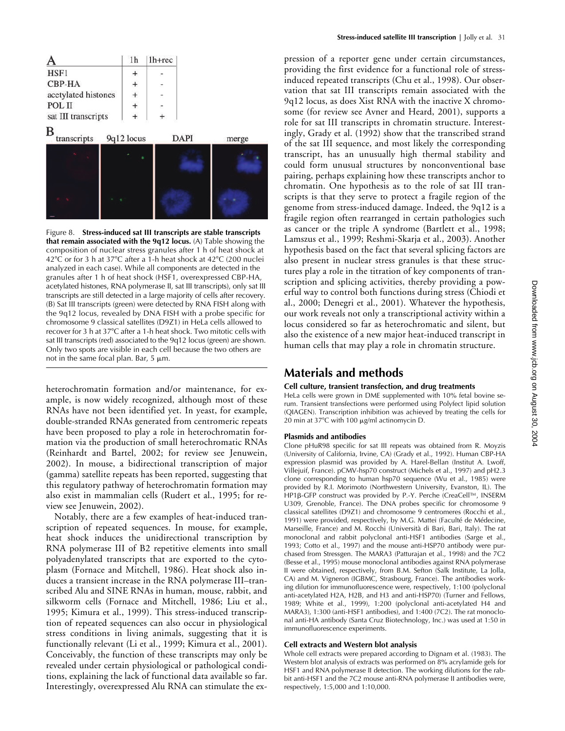

Figure 8. **Stress-induced sat III transcripts are stable transcripts that remain associated with the 9q12 locus.** (A) Table showing the composition of nuclear stress granules after 1 h of heat shock at 42°C or for 3 h at 37°C after a 1-h heat shock at 42°C (200 nuclei analyzed in each case). While all components are detected in the granules after 1 h of heat shock (HSF1, overexpressed CBP-HA, acetylated histones, RNA polymerase II, sat III transcripts), only sat III transcripts are still detected in a large majority of cells after recovery. (B) Sat III transcripts (green) were detected by RNA FISH along with the 9q12 locus, revealed by DNA FISH with a probe specific for chromosome 9 classical satellites (D9Z1) in HeLa cells allowed to recover for 3 h at 37°C after a 1-h heat shock. Two mitotic cells with sat III transcripts (red) associated to the 9q12 locus (green) are shown. Only two spots are visible in each cell because the two others are not in the same focal plan. Bar,  $5 \mu m$ .

heterochromatin formation and/or maintenance, for example, is now widely recognized, although most of these RNAs have not been identified yet. In yeast, for example, double-stranded RNAs generated from centromeric repeats have been proposed to play a role in heterochromatin formation via the production of small heterochromatic RNAs (Reinhardt and Bartel, 2002; for review see Jenuwein, 2002). In mouse, a bidirectional transcription of major (gamma) satellite repeats has been reported, suggesting that this regulatory pathway of heterochromatin formation may also exist in mammalian cells (Rudert et al., 1995; for review see Jenuwein, 2002).

Notably, there are a few examples of heat-induced transcription of repeated sequences. In mouse, for example, heat shock induces the unidirectional transcription by RNA polymerase III of B2 repetitive elements into small polyadenylated transcripts that are exported to the cytoplasm (Fornace and Mitchell, 1986). Heat shock also induces a transient increase in the RNA polymerase III–transcribed Alu and SINE RNAs in human, mouse, rabbit, and silkworm cells (Fornace and Mitchell, 1986; Liu et al., 1995; Kimura et al., 1999). This stress-induced transcription of repeated sequences can also occur in physiological stress conditions in living animals, suggesting that it is functionally relevant (Li et al., 1999; Kimura et al., 2001). Conceivably, the function of these transcripts may only be revealed under certain physiological or pathological conditions, explaining the lack of functional data available so far. Interestingly, overexpressed Alu RNA can stimulate the expression of a reporter gene under certain circumstances, providing the first evidence for a functional role of stressinduced repeated transcripts (Chu et al., 1998). Our observation that sat III transcripts remain associated with the 9q12 locus, as does Xist RNA with the inactive X chromosome (for review see Avner and Heard, 2001), supports a role for sat III transcripts in chromatin structure. Interestingly, Grady et al. (1992) show that the transcribed strand of the sat III sequence, and most likely the corresponding transcript, has an unusually high thermal stability and could form unusual structures by nonconventional base pairing, perhaps explaining how these transcripts anchor to chromatin. One hypothesis as to the role of sat III transcripts is that they serve to protect a fragile region of the genome from stress-induced damage. Indeed, the 9q12 is a fragile region often rearranged in certain pathologies such as cancer or the triple A syndrome (Bartlett et al., 1998; Lamszus et al., 1999; Reshmi-Skarja et al., 2003). Another hypothesis based on the fact that several splicing factors are also present in nuclear stress granules is that these structures play a role in the titration of key components of transcription and splicing activities, thereby providing a powerful way to control both functions during stress (Chiodi et al., 2000; Denegri et al., 2001). Whatever the hypothesis, our work reveals not only a transcriptional activity within a locus considered so far as heterochromatic and silent, but also the existence of a new major heat-induced transcript in human cells that may play a role in chromatin structure.

## **Materials and methods**

#### **Cell culture, transient transfection, and drug treatments**

HeLa cells were grown in DME supplemented with 10% fetal bovine serum. Transient transfections were performed using Polyfect lipid solution (QIAGEN). Transcription inhibition was achieved by treating the cells for 20 min at 37°C with 100 μg/ml actinomycin D.

#### **Plasmids and antibodies**

Clone pHuR98 specific for sat III repeats was obtained from R. Moyzis (University of California, Irvine, CA) (Grady et al., 1992). Human CBP-HA expression plasmid was provided by A. Harel-Bellan (Institut A. Lwoff, Villejuif, France). pCMV-hsp70 construct (Michels et al., 1997) and pH2.3 clone corresponding to human hsp70 sequence (Wu et al., 1985) were provided by R.I. Morimoto (Northwestern University, Evanston, IL). The HP1β-GFP construct was provided by P.-Y. Perche (CreaCell™, INSERM U309, Grenoble, France). The DNA probes specific for chromosome 9 classical satellites (D9Z1) and chromosome 9 centromeres (Rocchi et al., 1991) were provided, respectively, by M.G. Mattei (Faculté de Médecine, Marseille, France) and M. Rocchi (Università di Bari, Bari, Italy). The rat monoclonal and rabbit polyclonal anti-HSF1 antibodies (Sarge et al., 1993; Cotto et al., 1997) and the mouse anti-HSP70 antibody were purchased from Stressgen. The MARA3 (Patturajan et al., 1998) and the 7C2 (Besse et al., 1995) mouse monoclonal antibodies against RNA polymerase II were obtained, respectively, from B.M. Sefton (Salk Institute, La Jolla, CA) and M. Vigneron (IGBMC, Strasbourg, France). The antibodies working dilution for immunofluorescence were, respectively, 1:100 (polyclonal anti-acetylated H2A, H2B, and H3 and anti-HSP70) (Turner and Fellows, 1989; White et al., 1999), 1:200 (polyclonal anti-acetylated H4 and MARA3), 1:300 (anti-HSF1 antibodies), and 1:400 (7C2). The rat monoclonal anti-HA antibody (Santa Cruz Biotechnology, Inc.) was used at 1:50 in immunofluorescence experiments.

#### **Cell extracts and Western blot analysis**

Whole cell extracts were prepared according to Dignam et al. (1983). The Western blot analysis of extracts was performed on 8% acrylamide gels for HSF1 and RNA polymerase II detection. The working dilutions for the rabbit anti-HSF1 and the 7C2 mouse anti-RNA polymerase II antibodies were, respectively, 1:5,000 and 1:10,000.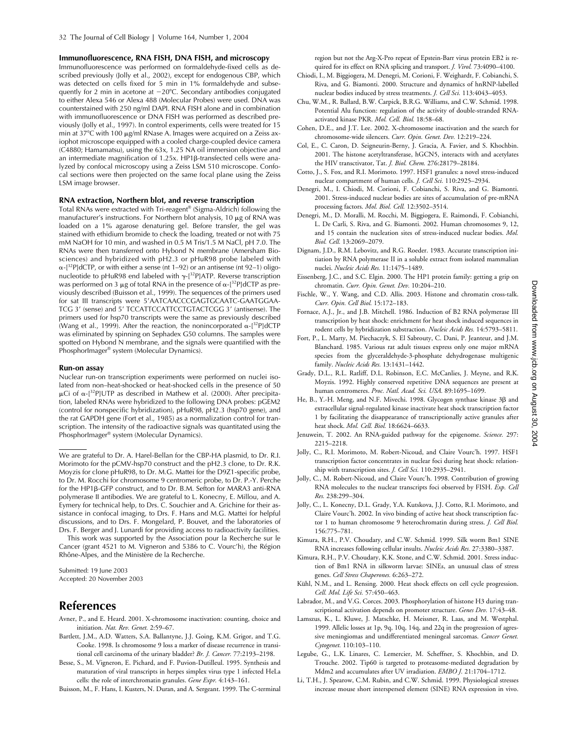**Immunofluorescence, RNA FISH, DNA FISH, and microscopy**

Immunofluorescence was performed on formaldehyde-fixed cells as described previously (Jolly et al., 2002), except for endogenous CBP, which was detected on cells fixed for 5 min in 1% formaldehyde and subsequently for 2 min in acetone at -20°C. Secondary antibodies conjugated to either Alexa 546 or Alexa 488 (Molecular Probes) were used. DNA was counterstained with 250 ng/ml DAPI. RNA FISH alone and in combination with immunofluorescence or DNA FISH was performed as described previously (Jolly et al., 1997). In control experiments, cells were treated for 15 min at 37°C with 100  $\mu$ g/ml RNase A. Images were acquired on a Zeiss axiophot microscope equipped with a cooled charge-coupled device camera (C4880; Hamamatsu), using the 63x, 1.25 NA oil immersion objective and an intermediate magnification of  $1.25x$ . HP1 $\beta$ -transfected cells were analyzed by confocal microscopy using a Zeiss LSM 510 microscope. Confocal sections were then projected on the same focal plane using the Zeiss LSM image browser.

#### **RNA extraction, Northern blot, and reverse transcription**

Total RNAs were extracted with Tri-reagent® (Sigma-Aldrich) following the manufacturer's instructions. For Northern blot analysis, 10  $\mu$ g of RNA was loaded on a 1% agarose denaturing gel. Before transfer, the gel was stained with ethidium bromide to check the loading, treated or not with 75 mM NaOH for 10 min, and washed in 0.5 M Tris/1.5 M NaCl, pH 7.0. The RNAs were then transferred onto Hybond N membrane (Amersham Biosciences) and hybridized with pH2.3 or pHuR98 probe labeled with  $\alpha$ -[<sup>32</sup>P]dCTP, or with either a sense (nt 1–92) or an antisense (nt 92–1) oligonucleotide to pHuR98 end labeled with  $\gamma$ -[32P]ATP. Reverse transcription was performed on 3  $\mu$ g of total RNA in the presence of  $\alpha$ -[32P]dCTP as previously described (Buisson et al., 1999). The sequences of the primers used for sat III transcripts were 5'AATCAACCCGAGTGCAATC-GAATGGAA-TCG 3' (sense) and 5' TCCATTCCATTCCTGTACTCGG 3' (antisense). The primers used for hsp70 transcripts were the same as previously described (Wang et al., 1999). After the reaction, the nonincorporated  $\alpha$ -[<sup>32</sup>P]dCTP was eliminated by spinning on Sephadex G50 columns. The samples were spotted on Hybond N membrane, and the signals were quantified with the PhosphorImager® system (Molecular Dynamics).

#### **Run-on assay**

Nuclear run-on transcription experiments were performed on nuclei isolated from non–heat-shocked or heat-shocked cells in the presence of 50  $\mu$ Ci of  $\alpha$ -[<sup>32</sup>P]UTP as described in Mathew et al. (2000). After precipitation, labeled RNAs were hybridized to the following DNA probes: pGEM2 (control for nonspecific hybridization), pHuR98, pH2.3 (hsp70 gene), and the rat GAPDH gene (Fort et al., 1985) as a normalization control for transcription. The intensity of the radioactive signals was quantitated using the PhosphorImager® system (Molecular Dynamics).

We are grateful to Dr. A. Harel-Bellan for the CBP-HA plasmid, to Dr. R.I. Morimoto for the pCMV-hsp70 construct and the pH2.3 clone, to Dr. R.K. Moyzis for clone pHuR98, to Dr. M.G. Mattei for the D9Z1-specific probe, to Dr. M. Rocchi for chromosome 9 centromeric probe, to Dr. P.-Y. Perche for the HP1β-GFP construct, and to Dr. B.M. Sefton for MARA3 anti-RNA polymerase II antibodies. We are grateful to L. Konecny, E. Millou, and A. Eymery for technical help, to Drs. C. Souchier and A. Grichine for their assistance in confocal imaging, to Drs. F. Hans and M.G. Mattei for helpful discussions, and to Drs. F. Mongelard, P. Bouvet, and the laboratories of Drs. F. Berger and J. Lunardi for providing access to radioactivity facilities.

This work was supported by the Association pour la Recherche sur le Cancer (grant 4521 to M. Vigneron and 5386 to C. Vourc'h), the Région Rhône-Alpes, and the Ministère de la Recherche.

Submitted: 19 June 2003 Accepted: 20 November 2003

## **References**

- Avner, P., and E. Heard. 2001. X-chromosome inactivation: counting, choice and initiation. *Nat. Rev. Genet.* 2:59–67.
- Bartlett, J.M., A.D. Watters, S.A. Ballantyne, J.J. Going, K.M. Grigor, and T.G. Cooke. 1998. Is chromosome 9 loss a marker of disease recurrence in transitional cell carcinoma of the urinary bladder? *Br. J. Cancer.* 77:2193–2198.
- Besse, S., M. Vigneron, E. Pichard, and F. Puvion-Dutilleul. 1995. Synthesis and maturation of viral transcripts in herpes simplex virus type 1 infected HeLa cells: the role of interchromatin granules. *Gene Expr.* 4:143–161.

Buisson, M., F. Hans, I. Kusters, N. Duran, and A. Sergeant. 1999. The C-terminal

region but not the Arg-X-Pro repeat of Epstein-Barr virus protein EB2 is required for its effect on RNA splicing and transport. *J. Virol.* 73:4090–4100.

- Chiodi, I., M. Biggiogera, M. Denegri, M. Corioni, F. Weighardt, F. Cobianchi, S. Riva, and G. Biamonti. 2000. Structure and dynamics of hnRNP-labelled nuclear bodies induced by stress treatments. *J. Cell Sci.* 113:4043–4053.
- Chu, W.M., R. Ballard, B.W. Carpick, B.R.G. Williams, and C.W. Schmid. 1998. Potential Alu function: regulation of the activity of double-stranded RNAactivated kinase PKR. *Mol. Cell. Biol.* 18:58–68.
- Cohen, D.E., and J.T. Lee. 2002. X-chromosome inactivation and the search for chromosome-wide silencers. *Curr. Opin. Genet. Dev.* 12:219–224.
- Col, E., C. Caron, D. Seigneurin-Berny, J. Gracia, A. Favier, and S. Khochbin. 2001. The histone acetyltransferase, hGCN5, interacts with and acetylates the HIV transctivator, Tat. *J. Biol. Chem.* 276:28179–28184.
- Cotto, J., S. Fox, and R.I. Morimoto. 1997. HSF1 granules: a novel stress-induced nuclear compartment of human cells. *J. Cell Sci.* 110:2925–2934.
- Denegri, M., I. Chiodi, M. Corioni, F. Cobianchi, S. Riva, and G. Biamonti. 2001. Stress-induced nuclear bodies are sites of accumulation of pre-mRNA processing factors. *Mol. Biol. Cell.* 12:3502–3514.
- Denegri, M., D. Moralli, M. Rocchi, M. Biggiogera, E. Raimondi, F. Cobianchi, L. De Carli, S. Riva, and G. Biamonti. 2002. Human chromosomes 9, 12, and 15 contain the nucleation sites of stress-induced nuclear bodies. *Mol. Biol. Cell.* 13:2069–2079.
- Dignam, J.D., R.M. Lebovitz, and R.G. Roeder. 1983. Accurate transcription initiation by RNA polymerase II in a soluble extract from isolated mammalian nuclei. *Nucleic Acids Res.* 11:1475–1489.
- Eissenberg, J.C., and S.C. Elgin. 2000. The HP1 protein family: getting a grip on chromatin. *Curr. Opin. Genet. Dev.* 10:204–210.
- Fischle, W., Y. Wang, and C.D. Allis. 2003. Histone and chromatin cross-talk. *Curr. Opin. Cell Biol.* 15:172–183.
- Fornace, A.J., Jr., and J.B. Mitchell. 1986. Induction of B2 RNA polymerase III transcription by heat shock: enrichment for heat shock induced sequences in rodent cells by hybridization substraction. *Nucleic Acids Res.* 14:5793–5811.
- Fort, P., L. Marty, M. Piechaczyk, S. El Sabrouty, C. Dani, P. Jeanteur, and J.M. Blanchard. 1985. Various rat adult tissues express only one major mRNA species from the glyceraldehyde-3-phosphate dehydrogenase multigenic family. *Nucleic Acids Res.* 13:1431–1442.
- Grady, D.L., R.L. Ratliff, D.L. Robinson, E.C. McCanlies, J. Meyne, and R.K. Moyzis. 1992. Highly conserved repetitive DNA sequences are present at human centromeres. *Proc. Natl. Acad. Sci. USA.* 89:1695–1699.
- He, B., Y.-H. Meng, and N.F. Mivechi. 1998. Glycogen synthase kinase 3 $\beta$  and extracellular signal-regulated kinase inactivate heat shock transcription factor 1 by facilitating the disappearance of transcriptionally active granules after heat shock. *Mol. Cell. Biol.* 18:6624–6633.
- Jenuwein, T. 2002. An RNA-guided pathway for the epigenome. *Science.* 297: 2215–2218.
- Jolly, C., R.I. Morimoto, M. Robert-Nicoud, and Claire Vourc'h. 1997. HSF1 transcription factor concentrates in nuclear foci during heat shock: relationship with transcription sites. *J. Cell Sci.* 110:2935–2941.
- Jolly, C., M. Robert-Nicoud, and Claire Vourc'h. 1998. Contribution of growing RNA molecules to the nuclear transcripts foci observed by FISH. *Exp. Cell Res.* 238:299–304.
- Jolly, C., L. Konecny, D.L. Grady, Y.A. Kutskova, J.J. Cotto, R.I. Morimoto, and Claire Vourc'h. 2002. In vivo binding of active heat shock transcription factor 1 to human chromosome 9 heterochromatin during stress. *J. Cell Biol.* 156:775–781.
- Kimura, R.H., P.V. Choudary, and C.W. Schmid. 1999. Silk worm Bm1 SINE RNA increases following cellular insults. *Nucleic Acids Res.* 27:3380–3387.
- Kimura, R.H., P.V. Choudary, K.K. Stone, and C.W. Schmid. 2001. Stress induction of Bm1 RNA in silkworm larvae: SINEs, an unusual class of stress genes. *Cell Stress Chaperones.* 6:263–272.
- Kühl, N.M., and L. Rensing. 2000. Heat shock effects on cell cycle progression. *Cell. Mol. Life Sci.* 57:450–463.
- Labrador, M., and V.G. Corces. 2003. Phosphorylation of histone H3 during transcriptional activation depends on promoter structure. *Genes Dev.* 17:43–48.
- Lamszus, K., L. Kluwe, J. Matschke, H. Meissner, R. Laas, and M. Westphal. 1999. Allelic losses at 1p, 9q, 10q, 14q, and 22q in the progression of agressive meningiomas and undifferentiated meningeal sarcomas. *Cancer Genet. Cytogenet.* 110:103–110.
- Legube, G., L.K. Linares, C. Lemercier, M. Scheffner, S. Khochbin, and D. Trouche. 2002. Tip60 is targeted to proteasome-mediated degradation by Mdm2 and accumulates after UV irradiation. *EMBO J.* 21:1704–1712.
- Li, T.H., J. Spearow, C.M. Rubin, and C.W. Schmid. 1999. Physiological stresses increase mouse short interspersed element (SINE) RNA expression in vivo.